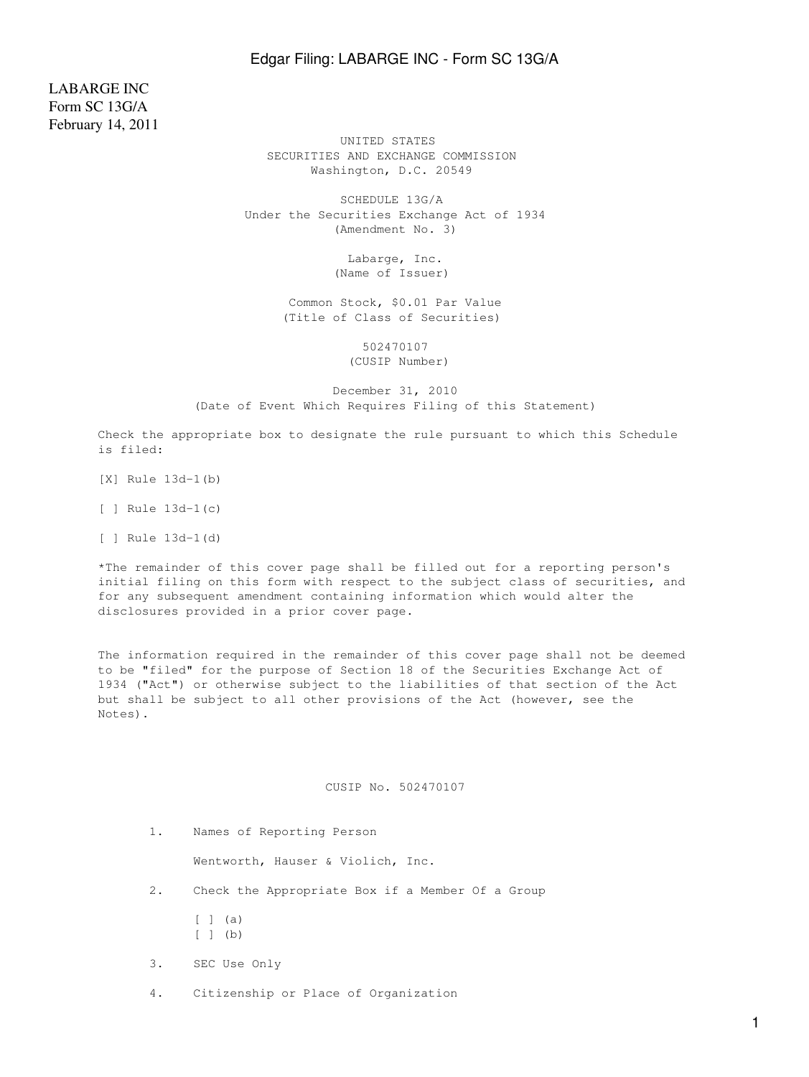## Edgar Filing: LABARGE INC - Form SC 13G/A

LABARGE INC Form SC 13G/A February 14, 2011

 UNITED STATES SECURITIES AND EXCHANGE COMMISSION Washington, D.C. 20549

 SCHEDULE 13G/A Under the Securities Exchange Act of 1934 (Amendment No. 3)

> Labarge, Inc. (Name of Issuer)

 Common Stock, \$0.01 Par Value (Title of Class of Securities)

> 502470107 (CUSIP Number)

 December 31, 2010 (Date of Event Which Requires Filing of this Statement)

Check the appropriate box to designate the rule pursuant to which this Schedule is filed:

[X] Rule 13d-1(b)

[ ] Rule 13d-1(c)

[ ] Rule 13d-1(d)

\*The remainder of this cover page shall be filled out for a reporting person's initial filing on this form with respect to the subject class of securities, and for any subsequent amendment containing information which would alter the disclosures provided in a prior cover page.

The information required in the remainder of this cover page shall not be deemed to be "filed" for the purpose of Section 18 of the Securities Exchange Act of 1934 ("Act") or otherwise subject to the liabilities of that section of the Act but shall be subject to all other provisions of the Act (however, see the Notes).

### CUSIP No. 502470107

1. Names of Reporting Person

Wentworth, Hauser & Violich, Inc.

- 2. Check the Appropriate Box if a Member Of a Group
	- $[ ]$   $($ a)
	- [ ] (b)
- 3. SEC Use Only
- 4. Citizenship or Place of Organization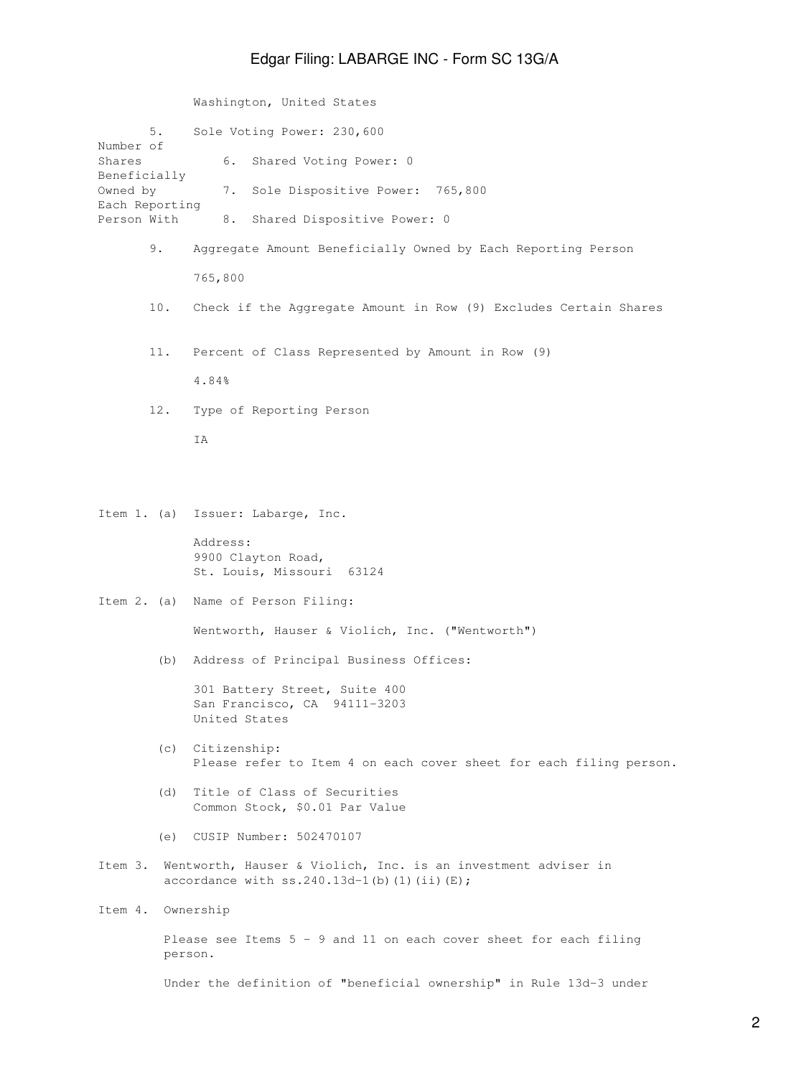# Edgar Filing: LABARGE INC - Form SC 13G/A

Washington, United States

| Number of<br>Shares<br>Beneficially<br>Owned by<br>Each Reporting<br>Person With | 5.  | Sole Voting Power: 230,600                                                                                                |  |
|----------------------------------------------------------------------------------|-----|---------------------------------------------------------------------------------------------------------------------------|--|
|                                                                                  |     | 6.<br>Shared Voting Power: 0                                                                                              |  |
|                                                                                  |     | 7.<br>Sole Dispositive Power: 765,800                                                                                     |  |
|                                                                                  |     | 8.<br>Shared Dispositive Power: 0                                                                                         |  |
|                                                                                  | 9.  | Aggregate Amount Beneficially Owned by Each Reporting Person                                                              |  |
|                                                                                  |     | 765,800                                                                                                                   |  |
|                                                                                  | 10. | Check if the Aggregate Amount in Row (9) Excludes Certain Shares                                                          |  |
|                                                                                  | 11. | Percent of Class Represented by Amount in Row (9)                                                                         |  |
|                                                                                  |     | 4.84%                                                                                                                     |  |
|                                                                                  | 12. | Type of Reporting Person                                                                                                  |  |
|                                                                                  |     | ΙA                                                                                                                        |  |
|                                                                                  |     |                                                                                                                           |  |
|                                                                                  |     | Item 1. (a) Issuer: Labarge, Inc.                                                                                         |  |
|                                                                                  |     | Address:<br>9900 Clayton Road,<br>St. Louis, Missouri 63124                                                               |  |
| Item $2.$ (a)                                                                    |     | Name of Person Filing:                                                                                                    |  |
|                                                                                  |     | Wentworth, Hauser & Violich, Inc. ("Wentworth")                                                                           |  |
|                                                                                  | (b) | Address of Principal Business Offices:                                                                                    |  |
|                                                                                  |     | 301 Battery Street, Suite 400<br>San Francisco, CA 94111-3203<br>United States                                            |  |
|                                                                                  |     | (c) Citizenship:<br>Please refer to Item 4 on each cover sheet for each filing person.                                    |  |
|                                                                                  | (d) | Title of Class of Securities<br>Common Stock, \$0.01 Par Value                                                            |  |
|                                                                                  |     | (e) CUSIP Number: 502470107                                                                                               |  |
|                                                                                  |     | Item 3. Wentworth, Hauser & Violich, Inc. is an investment adviser in<br>accordance with $ss.240.13d-1$ (b) (1) (ii) (E); |  |
| Item 4.                                                                          |     | Ownership                                                                                                                 |  |
|                                                                                  |     | Please see Items $5 - 9$ and 11 on each cover sheet for each filing<br>person.                                            |  |
|                                                                                  |     | Under the definition of "beneficial ownership" in Rule 13d-3 under                                                        |  |